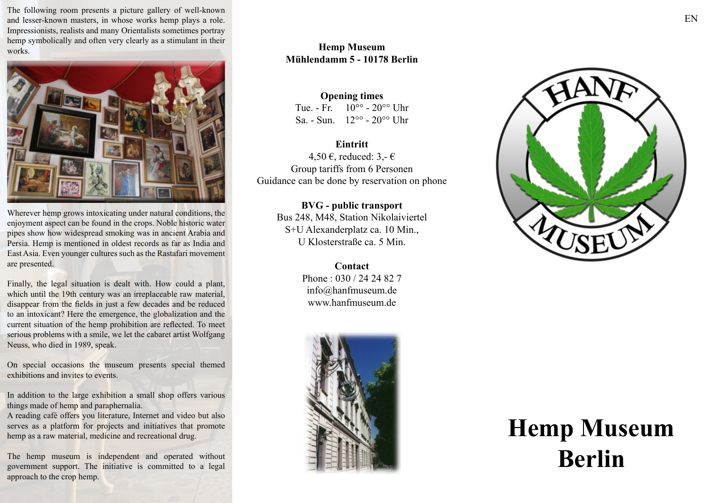The following room presents a picture gallery of well-known and lesser-known masters, in whose works hemp plays a role. Impressionists, realists and many Orientalists sometimes portray hemp symbolically and often very clearly as a stimulant in their works.



Wherever hemp grows intoxicating under natural conditions, the enjoyment aspect can be found in the crops. Noble historic water pipes show how widespread smoking was in ancient Arabia and Persia. Hemp is mentioned in oldest records as far as India and East Asia. Even younger cultures such as the Rastafari movement are presented.

Finally, the legal situation is dealt with. How could a plant, which until the 19th century was an irreplaceable raw material, disappear from the fields in just a few decades and be reduced to an intoxicant? Here the emergence, the globalization and the current situation of the hemp prohibition are reflected. To meet serious problems with a smile, we let the cabaret artist Wolfgang Neuss, who died in 1989, speak.

On special occasions the museum presents special themed exhibitions and invites to events.

In addition to the large exhibition a small shop offers various things made of hemp and paraphernalia.

A reading café offers you literature, Internet and video but also serves as a platform for projects and initiatives that promote hemp as a raw material, medicine and recreational drug.

The hemp museum is independent and operated without government support. The initiative is committed to a legal approach to the crop hemp.

## **Hemp Museum Mühlendamm 5 - 10178 Berlin**

**Opening times** Tue. - Fr.  $10^{\circ}$  -  $20^{\circ}$  Uhr Sa. - Sun.  $12^{\circ}$  -  $20^{\circ}$  Uhr

**Eintritt** 4,50 €, reduced:  $3,-\epsilon$ Group tariffs from 6 Personen Guidance can be done by reservation on phone

> **BVG - public transport** Bus 248, M48, Station Nikolaiviertel S+U Alexanderplatz ca. 10 Min., U Klosterstraße ca. 5 Min.

> > **Contact** Phone : 030 / 24 24 82 7 info@hanfmuseum.de www.hanfmuseum.de